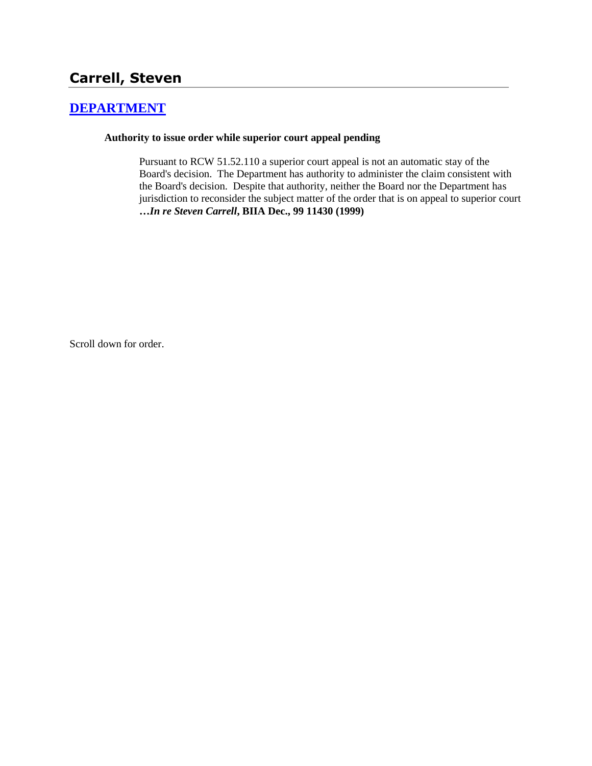# **Carrell, Steven**

## **[DEPARTMENT](http://www.biia.wa.gov/SDSubjectIndex.html#DEPARTMENT)**

#### **Authority to issue order while superior court appeal pending**

Pursuant to RCW 51.52.110 a superior court appeal is not an automatic stay of the Board's decision. The Department has authority to administer the claim consistent with the Board's decision. Despite that authority, neither the Board nor the Department has jurisdiction to reconsider the subject matter of the order that is on appeal to superior court **…***In re Steven Carrell***, BIIA Dec., 99 11430 (1999)** 

Scroll down for order.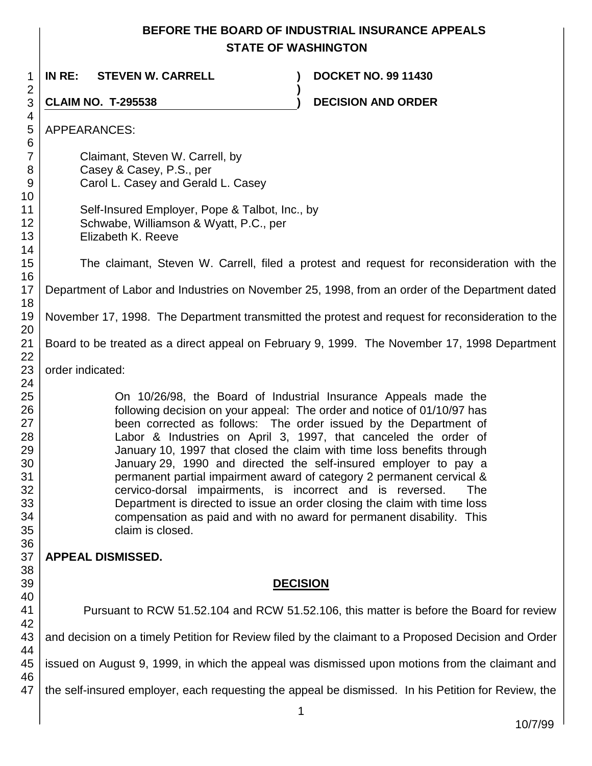## **BEFORE THE BOARD OF INDUSTRIAL INSURANCE APPEALS STATE OF WASHINGTON**

**)**

1 **IN RE: STEVEN W. CARRELL ) DOCKET NO. 99 11430**

**CLAIM NO. T-295538 ) DECISION AND ORDER** 

APPEARANCES:

18

Claimant, Steven W. Carrell, by Casey & Casey, P.S., per Carol L. Casey and Gerald L. Casey

Self-Insured Employer, Pope & Talbot, Inc., by Schwabe, Williamson & Wyatt, P.C., per Elizabeth K. Reeve

The claimant, Steven W. Carrell, filed a protest and request for reconsideration with the

16 17 Department of Labor and Industries on November 25, 1998, from an order of the Department dated

19 November 17, 1998. The Department transmitted the protest and request for reconsideration to the

Board to be treated as a direct appeal on February 9, 1999. The November 17, 1998 Department

order indicated:

On 10/26/98, the Board of Industrial Insurance Appeals made the following decision on your appeal: The order and notice of 01/10/97 has been corrected as follows: The order issued by the Department of Labor & Industries on April 3, 1997, that canceled the order of January 10, 1997 that closed the claim with time loss benefits through January 29, 1990 and directed the self-insured employer to pay a permanent partial impairment award of category 2 permanent cervical & cervico-dorsal impairments, is incorrect and is reversed. The Department is directed to issue an order closing the claim with time loss compensation as paid and with no award for permanent disability. This claim is closed.

### **APPEAL DISMISSED.**

## **DECISION**

Pursuant to RCW 51.52.104 and RCW 51.52.106, this matter is before the Board for review and decision on a timely Petition for Review filed by the claimant to a Proposed Decision and Order issued on August 9, 1999, in which the appeal was dismissed upon motions from the claimant and the self-insured employer, each requesting the appeal be dismissed. In his Petition for Review, the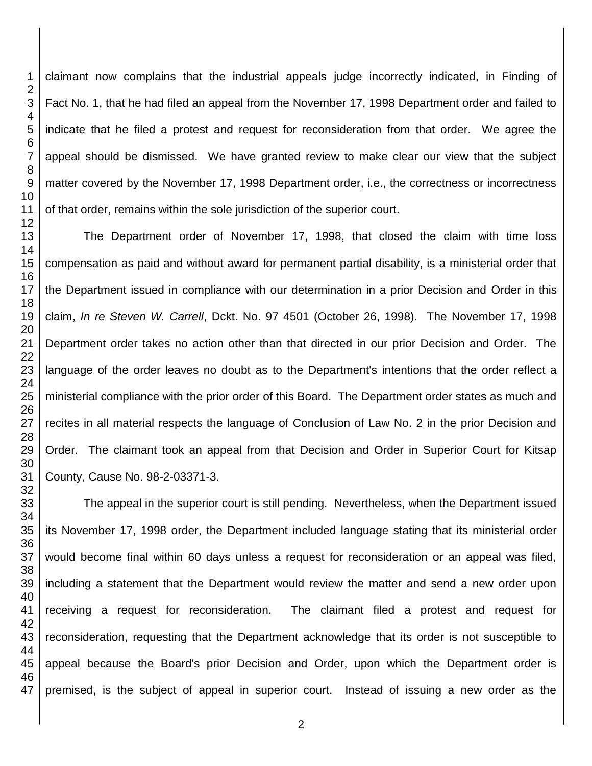claimant now complains that the industrial appeals judge incorrectly indicated, in Finding of Fact No. 1, that he had filed an appeal from the November 17, 1998 Department order and failed to indicate that he filed a protest and request for reconsideration from that order. We agree the appeal should be dismissed. We have granted review to make clear our view that the subject matter covered by the November 17, 1998 Department order, i.e., the correctness or incorrectness of that order, remains within the sole jurisdiction of the superior court.

The Department order of November 17, 1998, that closed the claim with time loss compensation as paid and without award for permanent partial disability, is a ministerial order that the Department issued in compliance with our determination in a prior Decision and Order in this claim, *In re Steven W. Carrell*, Dckt. No. 97 4501 (October 26, 1998). The November 17, 1998 Department order takes no action other than that directed in our prior Decision and Order. The language of the order leaves no doubt as to the Department's intentions that the order reflect a ministerial compliance with the prior order of this Board. The Department order states as much and recites in all material respects the language of Conclusion of Law No. 2 in the prior Decision and Order. The claimant took an appeal from that Decision and Order in Superior Court for Kitsap County, Cause No. 98-2-03371-3.

The appeal in the superior court is still pending. Nevertheless, when the Department issued its November 17, 1998 order, the Department included language stating that its ministerial order would become final within 60 days unless a request for reconsideration or an appeal was filed, including a statement that the Department would review the matter and send a new order upon receiving a request for reconsideration. The claimant filed a protest and request for reconsideration, requesting that the Department acknowledge that its order is not susceptible to appeal because the Board's prior Decision and Order, upon which the Department order is premised, is the subject of appeal in superior court. Instead of issuing a new order as the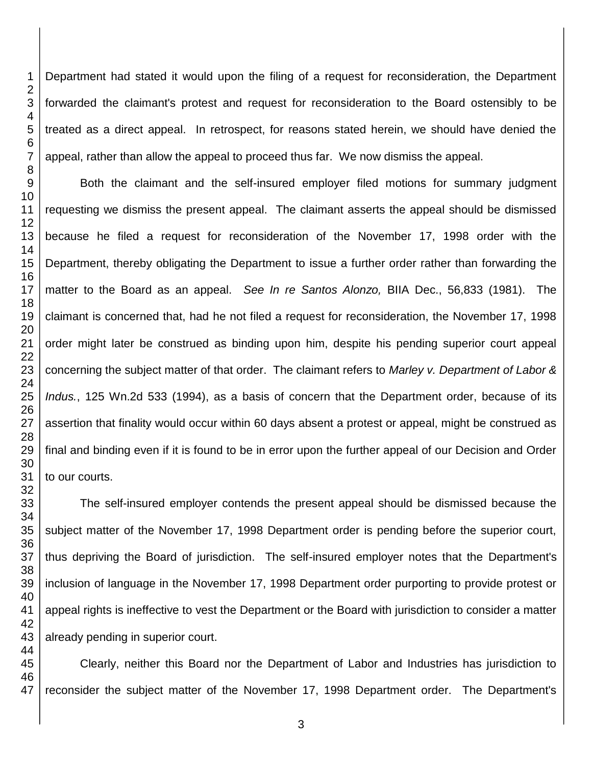Department had stated it would upon the filing of a request for reconsideration, the Department forwarded the claimant's protest and request for reconsideration to the Board ostensibly to be treated as a direct appeal. In retrospect, for reasons stated herein, we should have denied the appeal, rather than allow the appeal to proceed thus far. We now dismiss the appeal. Both the claimant and the self-insured employer filed motions for summary judgment

requesting we dismiss the present appeal. The claimant asserts the appeal should be dismissed because he filed a request for reconsideration of the November 17, 1998 order with the Department, thereby obligating the Department to issue a further order rather than forwarding the matter to the Board as an appeal. *See In re Santos Alonzo,* BIIA Dec., 56,833 (1981). The claimant is concerned that, had he not filed a request for reconsideration, the November 17, 1998 order might later be construed as binding upon him, despite his pending superior court appeal concerning the subject matter of that order. The claimant refers to *Marley v. Department of Labor & Indus.*, 125 Wn.2d 533 (1994), as a basis of concern that the Department order, because of its assertion that finality would occur within 60 days absent a protest or appeal, might be construed as final and binding even if it is found to be in error upon the further appeal of our Decision and Order to our courts.

The self-insured employer contends the present appeal should be dismissed because the subject matter of the November 17, 1998 Department order is pending before the superior court, thus depriving the Board of jurisdiction. The self-insured employer notes that the Department's inclusion of language in the November 17, 1998 Department order purporting to provide protest or appeal rights is ineffective to vest the Department or the Board with jurisdiction to consider a matter already pending in superior court.

Clearly, neither this Board nor the Department of Labor and Industries has jurisdiction to reconsider the subject matter of the November 17, 1998 Department order. The Department's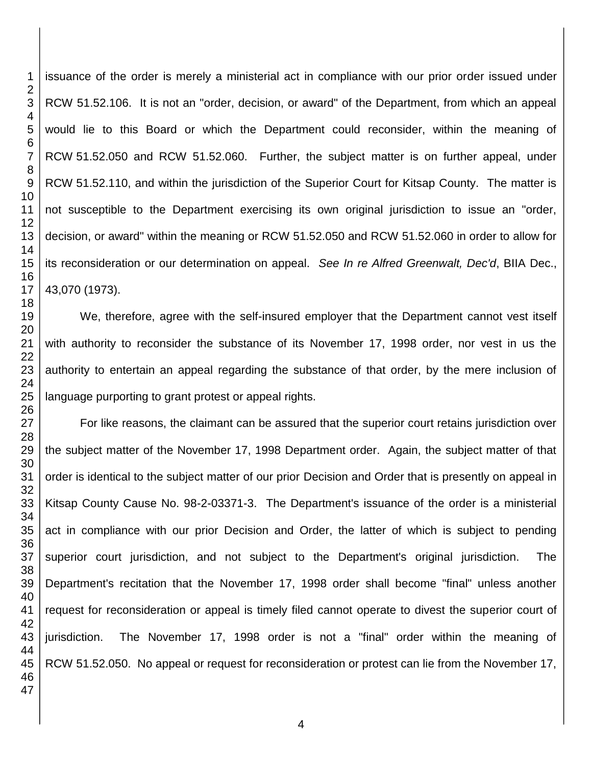issuance of the order is merely a ministerial act in compliance with our prior order issued under RCW 51.52.106. It is not an "order, decision, or award" of the Department, from which an appeal would lie to this Board or which the Department could reconsider, within the meaning of RCW 51.52.050 and RCW 51.52.060. Further, the subject matter is on further appeal, under RCW 51.52.110, and within the jurisdiction of the Superior Court for Kitsap County. The matter is not susceptible to the Department exercising its own original jurisdiction to issue an "order, decision, or award" within the meaning or RCW 51.52.050 and RCW 51.52.060 in order to allow for its reconsideration or our determination on appeal. *See In re Alfred Greenwalt, Dec'd*, BIIA Dec., 43,070 (1973).

We, therefore, agree with the self-insured employer that the Department cannot vest itself with authority to reconsider the substance of its November 17, 1998 order, nor vest in us the authority to entertain an appeal regarding the substance of that order, by the mere inclusion of language purporting to grant protest or appeal rights.

For like reasons, the claimant can be assured that the superior court retains jurisdiction over the subject matter of the November 17, 1998 Department order. Again, the subject matter of that order is identical to the subject matter of our prior Decision and Order that is presently on appeal in Kitsap County Cause No. 98-2-03371-3. The Department's issuance of the order is a ministerial act in compliance with our prior Decision and Order, the latter of which is subject to pending superior court jurisdiction, and not subject to the Department's original jurisdiction. The Department's recitation that the November 17, 1998 order shall become "final" unless another request for reconsideration or appeal is timely filed cannot operate to divest the superior court of jurisdiction. The November 17, 1998 order is not a "final" order within the meaning of RCW 51.52.050. No appeal or request for reconsideration or protest can lie from the November 17,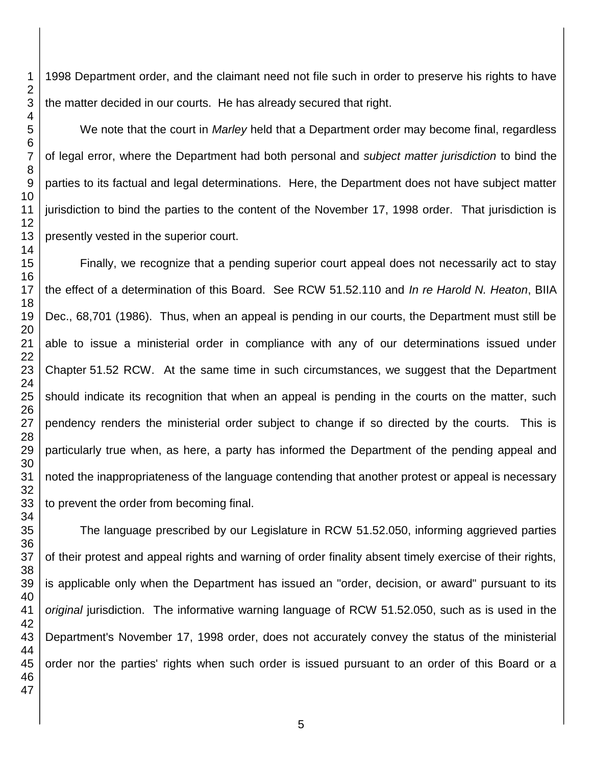1998 Department order, and the claimant need not file such in order to preserve his rights to have the matter decided in our courts. He has already secured that right.

We note that the court in *Marley* held that a Department order may become final, regardless of legal error, where the Department had both personal and *subject matter jurisdiction* to bind the parties to its factual and legal determinations. Here, the Department does not have subject matter jurisdiction to bind the parties to the content of the November 17, 1998 order. That jurisdiction is presently vested in the superior court.

Finally, we recognize that a pending superior court appeal does not necessarily act to stay the effect of a determination of this Board. See RCW 51.52.110 and *In re Harold N. Heaton*, BIIA Dec., 68,701 (1986). Thus, when an appeal is pending in our courts, the Department must still be able to issue a ministerial order in compliance with any of our determinations issued under Chapter 51.52 RCW. At the same time in such circumstances, we suggest that the Department should indicate its recognition that when an appeal is pending in the courts on the matter, such pendency renders the ministerial order subject to change if so directed by the courts. This is particularly true when, as here, a party has informed the Department of the pending appeal and noted the inappropriateness of the language contending that another protest or appeal is necessary to prevent the order from becoming final.

The language prescribed by our Legislature in RCW 51.52.050, informing aggrieved parties of their protest and appeal rights and warning of order finality absent timely exercise of their rights, is applicable only when the Department has issued an "order, decision, or award" pursuant to its *original* jurisdiction. The informative warning language of RCW 51.52.050, such as is used in the Department's November 17, 1998 order, does not accurately convey the status of the ministerial order nor the parties' rights when such order is issued pursuant to an order of this Board or a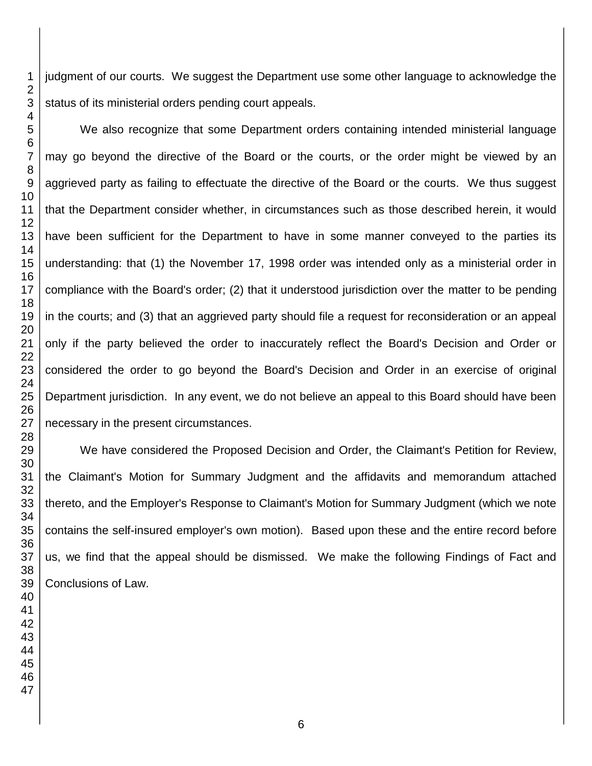judgment of our courts. We suggest the Department use some other language to acknowledge the status of its ministerial orders pending court appeals.

We also recognize that some Department orders containing intended ministerial language may go beyond the directive of the Board or the courts, or the order might be viewed by an aggrieved party as failing to effectuate the directive of the Board or the courts. We thus suggest that the Department consider whether, in circumstances such as those described herein, it would have been sufficient for the Department to have in some manner conveyed to the parties its understanding: that (1) the November 17, 1998 order was intended only as a ministerial order in compliance with the Board's order; (2) that it understood jurisdiction over the matter to be pending in the courts; and (3) that an aggrieved party should file a request for reconsideration or an appeal only if the party believed the order to inaccurately reflect the Board's Decision and Order or considered the order to go beyond the Board's Decision and Order in an exercise of original Department jurisdiction. In any event, we do not believe an appeal to this Board should have been necessary in the present circumstances.

We have considered the Proposed Decision and Order, the Claimant's Petition for Review, the Claimant's Motion for Summary Judgment and the affidavits and memorandum attached thereto, and the Employer's Response to Claimant's Motion for Summary Judgment (which we note contains the self-insured employer's own motion). Based upon these and the entire record before us, we find that the appeal should be dismissed. We make the following Findings of Fact and Conclusions of Law.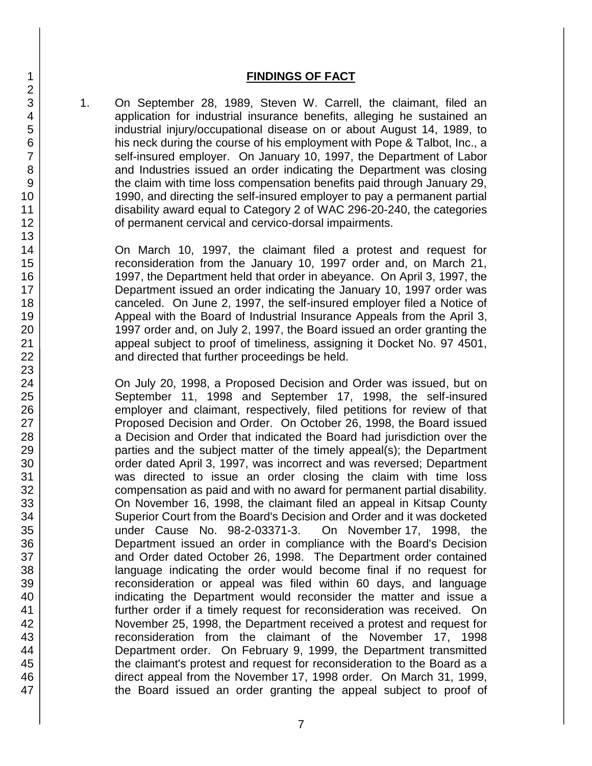#### **FINDINGS OF FACT**

1. On September 28, 1989, Steven W. Carrell, the claimant, filed an application for industrial insurance benefits, alleging he sustained an industrial injury/occupational disease on or about August 14, 1989, to his neck during the course of his employment with Pope & Talbot, Inc., a self-insured employer. On January 10, 1997, the Department of Labor and Industries issued an order indicating the Department was closing the claim with time loss compensation benefits paid through January 29, 1990, and directing the self-insured employer to pay a permanent partial disability award equal to Category 2 of WAC 296-20-240, the categories of permanent cervical and cervico-dorsal impairments.

On March 10, 1997, the claimant filed a protest and request for reconsideration from the January 10, 1997 order and, on March 21, 1997, the Department held that order in abeyance. On April 3, 1997, the Department issued an order indicating the January 10, 1997 order was canceled. On June 2, 1997, the self-insured employer filed a Notice of Appeal with the Board of Industrial Insurance Appeals from the April 3, 1997 order and, on July 2, 1997, the Board issued an order granting the appeal subject to proof of timeliness, assigning it Docket No. 97 4501, and directed that further proceedings be held.

On July 20, 1998, a Proposed Decision and Order was issued, but on September 11, 1998 and September 17, 1998, the self-insured employer and claimant, respectively, filed petitions for review of that Proposed Decision and Order. On October 26, 1998, the Board issued a Decision and Order that indicated the Board had jurisdiction over the parties and the subject matter of the timely appeal(s); the Department order dated April 3, 1997, was incorrect and was reversed; Department was directed to issue an order closing the claim with time loss compensation as paid and with no award for permanent partial disability. On November 16, 1998, the claimant filed an appeal in Kitsap County Superior Court from the Board's Decision and Order and it was docketed under Cause No. 98-2-03371-3. On November 17, 1998, the Department issued an order in compliance with the Board's Decision and Order dated October 26, 1998. The Department order contained language indicating the order would become final if no request for reconsideration or appeal was filed within 60 days, and language indicating the Department would reconsider the matter and issue a further order if a timely request for reconsideration was received. On November 25, 1998, the Department received a protest and request for reconsideration from the claimant of the November 17, 1998 Department order. On February 9, 1999, the Department transmitted the claimant's protest and request for reconsideration to the Board as a direct appeal from the November 17, 1998 order. On March 31, 1999, the Board issued an order granting the appeal subject to proof of